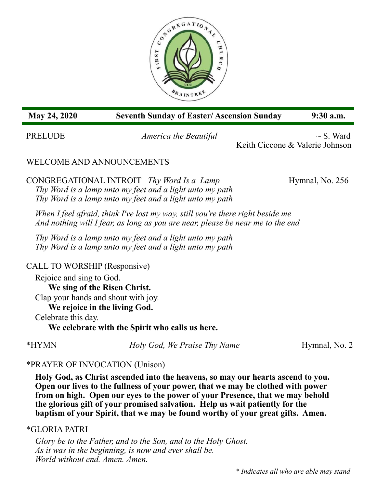

### **May 24, 2020 Seventh Sunday of Easter/ Ascension Sunday 9:30 a.m.**

PRELUDE *America the Beautiful* ~ S. Ward Keith Ciccone & Valerie Johnson

## WELCOME AND ANNOUNCEMENTS

CONGREGATIONAL INTROIT *Thy Word Is a Lamp* Hymnal, No. 256 *Thy Word is a lamp unto my feet and a light unto my path Thy Word is a lamp unto my feet and a light unto my path*

*When I feel afraid, think I've lost my way, still you're there right beside me And nothing will I fear, as long as you are near, please be near me to the end*

*Thy Word is a lamp unto my feet and a light unto my path Thy Word is a lamp unto my feet and a light unto my path*

CALL TO WORSHIP (Responsive) Rejoice and sing to God. **We sing of the Risen Christ.** Clap your hands and shout with joy. **We rejoice in the living God.** Celebrate this day. **We celebrate with the Spirit who calls us here.**

\*HYMN *Holy God, We Praise Thy Name* Hymnal, No. 2

## \*PRAYER OF INVOCATION (Unison)

 **Holy God, as Christ ascended into the heavens, so may our hearts ascend to you. Open our lives to the fullness of your power, that we may be clothed with power from on high. Open our eyes to the power of your Presence, that we may behold the glorious gift of your promised salvation. Help us wait patiently for the baptism of your Spirit, that we may be found worthy of your great gifts. Amen.**

### \*GLORIA PATRI

*Glory be to the Father, and to the Son, and to the Holy Ghost. As it was in the beginning, is now and ever shall be. World without end. Amen. Amen.*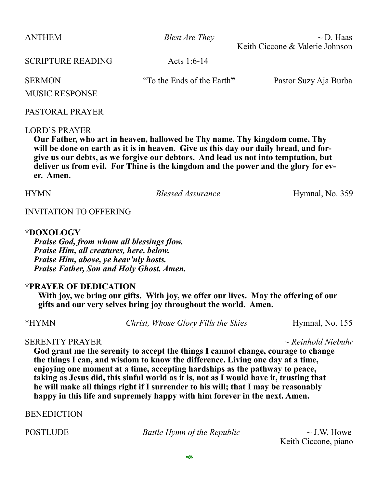ANTHEM *Blest Are They* ~ D. Haas Keith Ciccone & Valerie Johnson

SCRIPTURE READING Acts 1:6-14

SERMON "To the Ends of the Earth**"** Pastor Suzy Aja Burba

# MUSIC RESPONSE

### PASTORAL PRAYER

### LORD'S PRAYER

**Our Father, who art in heaven, hallowed be Thy name. Thy kingdom come, Thy will be done on earth as it is in heaven. Give us this day our daily bread, and forgive us our debts, as we forgive our debtors. And lead us not into temptation, but deliver us from evil. For Thine is the kingdom and the power and the glory for ever. Amen.**

HYMN *Blessed Assurance* Hymnal, No. 359

### INVITATION TO OFFERING

### **\*DOXOLOGY**

*Praise God, from whom all blessings flow. Praise Him, all creatures, here, below. Praise Him, above, ye heav'nly hosts. Praise Father, Son and Holy Ghost. Amen.*

### **\*PRAYER OF DEDICATION**

**With joy, we bring our gifts. With joy, we offer our lives. May the offering of our gifts and our very selves bring joy throughout the world. Amen.**

\*HYMN *Christ, Whose Glory Fills the Skies* Hymnal, No. 155

### SERENITY PRAYER *~ Reinhold Niebuhr*

**God grant me the serenity to accept the things I cannot change, courage to change the things I can, and wisdom to know the difference. Living one day at a time, enjoying one moment at a time, accepting hardships as the pathway to peace, taking as Jesus did, this sinful world as it is, not as I would have it, trusting that he will make all things right if I surrender to his will; that I may be reasonably happy in this life and supremely happy with him forever in the next. Amen.** 

**BENEDICTION** 

POSTLUDE *Battle Hymn of the Republic* ~ J.W. Howe

Keith Ciccone, piano